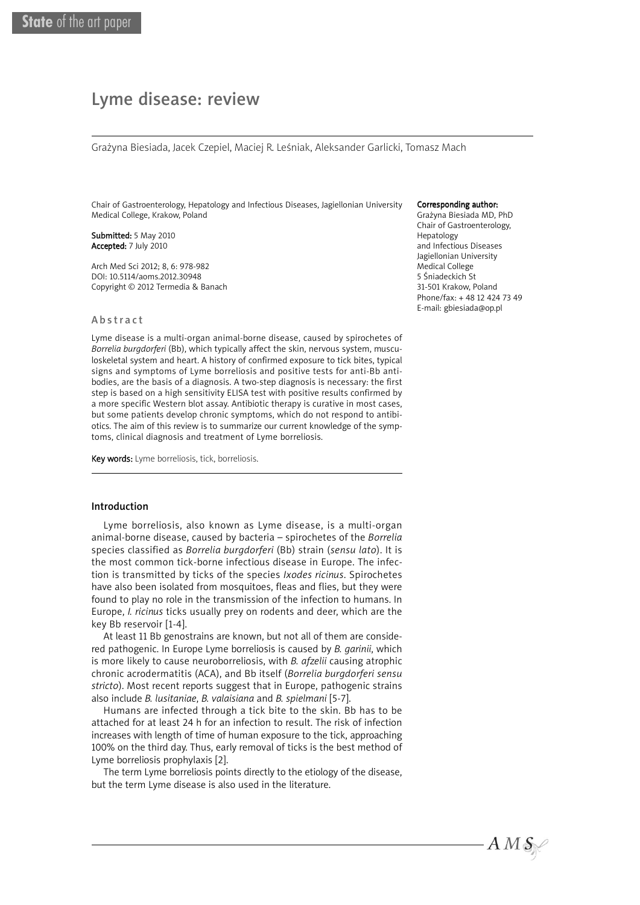# Lyme disease: review

Grażyna Biesiada, Jacek Czepiel, Maciej R. Leśniak, Aleksander Garlicki, Tomasz Mach

Chair of Gastroenterology, Hepatology and Infectious Diseases, Jagiellonian University Medical College, Krakow, Poland

Submitted: 5 May 2010 Accepted: 7 July 2010

Arch Med Sci 2012; 8, 6: 978-982 DOI: 10.5114/aoms.2012.30948 Copyright © 2012 Termedia & Banach

#### A b s tr a c t

Lyme disease is a multi-organ animal-borne disease, caused by spirochetes of *Borrelia burgdorferi* (Bb), which typically affect the skin, nervous system, musculoskeletal system and heart. A history of confirmed exposure to tick bites, typical signs and symptoms of Lyme borreliosis and positive tests for anti-Bb antibodies, are the basis of a diagnosis. A two-step diagnosis is necessary: the first step is based on a high sensitivity ELISA test with positive results confirmed by a more specific Western blot assay. Antibiotic therapy is curative in most cases, but some patients develop chronic symptoms, which do not respond to antibiotics. The aim of this review is to summarize our current knowledge of the symptoms, clinical diagnosis and treatment of Lyme borreliosis.

Key words: Lyme borreliosis, tick, borreliosis.

### Introduction

Lyme borreliosis, also known as Lyme disease, is a multi-organ animal-borne disease, caused by bacteria – spirochetes of the *Borrelia* species classified as *Borrelia burgdorferi* (Bb) strain (*sensu lato*). It is the most common tick-borne infectious disease in Europe. The infection is transmitted by ticks of the species *Ixodes ricinus*. Spirochetes have also been isolated from mosquitoes, fleas and flies, but they were found to play no role in the transmission of the infection to humans. In Europe, *I. ricinus* ticks usually prey on rodents and deer, which are the key Bb reservoir [1-4].

At least 11 Bb genostrains are known, but not all of them are considered pathogenic. In Europe Lyme borreliosis is caused by *B. garinii*, which is more likely to cause neuroborreliosis, with *B. afzelii* causing atrophic chronic acrodermatitis (ACA), and Bb itself (*Borrelia burgdorferi sensu stricto*). Most recent reports suggest that in Europe, pathogenic strains also include *B. lusitaniae*, *B. valaisiana* and *B. spielmani* [5-7].

Humans are infected through a tick bite to the skin. Bb has to be attached for at least 24 h for an infection to result. The risk of infection increases with length of time of human exposure to the tick, approaching 100% on the third day. Thus, early removal of ticks is the best method of Lyme borreliosis prophylaxis [2].

The term Lyme borreliosis points directly to the etiology of the disease, but the term Lyme disease is also used in the literature.

#### Corresponding author:

Grażyna Biesiada MD, PhD Chair of Gastroenterology, Hepatology and Infectious Diseases Jagiellonian University Medical College 5 Śniadeckich St 31-501 Krakow, Poland Phone/fax: + 48 12 424 73 49 E-mail: gbiesiada@op.pl

 $AMS$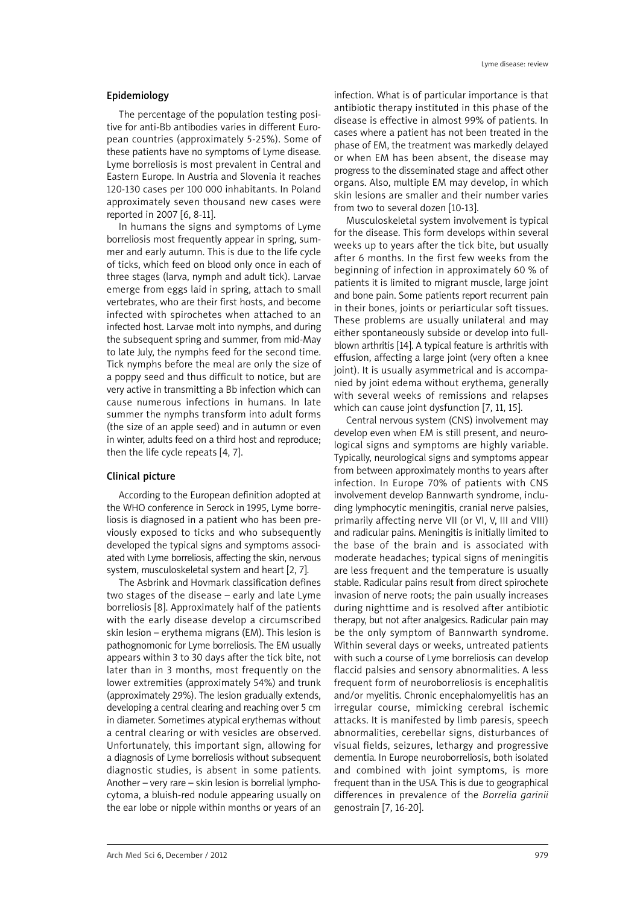#### Lyme disease: review

## Epidemiology

The percentage of the population testing positive for anti-Bb antibodies varies in different European countries (approximately 5-25%). Some of these patients have no symptoms of Lyme disease. Lyme borreliosis is most prevalent in Central and Eastern Europe. In Austria and Slovenia it reaches 120-130 cases per 100 000 inhabitants. In Poland approximately seven thousand new cases were reported in 2007 [6, 8-11].

In humans the signs and symptoms of Lyme borreliosis most frequently appear in spring, summer and early autumn. This is due to the life cycle of ticks, which feed on blood only once in each of three stages (larva, nymph and adult tick). Larvae emerge from eggs laid in spring, attach to small vertebrates, who are their first hosts, and become infected with spirochetes when attached to an infected host. Larvae molt into nymphs, and during the subsequent spring and summer, from mid-May to late July, the nymphs feed for the second time. Tick nymphs before the meal are only the size of a poppy seed and thus difficult to notice, but are very active in transmitting a Bb infection which can cause numerous infections in humans. In late summer the nymphs transform into adult forms (the size of an apple seed) and in autumn or even in winter, adults feed on a third host and reproduce; then the life cycle repeats [4, 7].

## Clinical picture

According to the European definition adopted at the WHO conference in Serock in 1995, Lyme borreliosis is diagnosed in a patient who has been previously exposed to ticks and who subsequently developed the typical signs and symptoms associated with Lyme borreliosis, affecting the skin, nervous system, musculoskeletal system and heart [2, 7].

The Asbrink and Hovmark classification defines two stages of the disease – early and late Lyme borreliosis [8]. Approximately half of the patients with the early disease develop a circumscribed skin lesion – erythema migrans (EM). This lesion is pathognomonic for Lyme borreliosis. The EM usually appears within 3 to 30 days after the tick bite, not later than in 3 months, most frequently on the lower extremities (approximately 54%) and trunk (approximately 29%). The lesion gradually extends, developing a central clearing and reaching over 5 cm in diameter. Sometimes atypical erythemas without a central clearing or with vesicles are observed. Unfortunately, this important sign, allowing for a diagnosis of Lyme borreliosis without subsequent diagnostic studies, is absent in some patients. Another – very rare – skin lesion is borrelial lymphocytoma, a bluish-red nodule appearing usually on the ear lobe or nipple within months or years of an infection. What is of particular importance is that antibiotic therapy instituted in this phase of the disease is effective in almost 99% of patients. In cases where a patient has not been treated in the phase of EM, the treatment was markedly delayed or when EM has been absent, the disease may progress to the disseminated stage and affect other organs. Also, multiple EM may develop, in which skin lesions are smaller and their number varies from two to several dozen [10-13].

Musculoskeletal system involvement is typical for the disease. This form develops within several weeks up to years after the tick bite, but usually after 6 months. In the first few weeks from the beginning of infection in approximately 60 % of patients it is limited to migrant muscle, large joint and bone pain. Some patients report recurrent pain in their bones, joints or periarticular soft tissues. These problems are usually unilateral and may either spontaneously subside or develop into fullblown arthritis [14]. A typical feature is arthritis with effusion, affecting a large joint (very often a knee joint). It is usually asymmetrical and is accompanied by joint edema without erythema, generally with several weeks of remissions and relapses which can cause joint dysfunction [7, 11, 15].

Central nervous system (CNS) involvement may develop even when EM is still present, and neurological signs and symptoms are highly variable. Typically, neurological signs and symptoms appear from between approximately months to years after infection. In Europe 70% of patients with CNS involvement develop Bannwarth syndrome, including lymphocytic meningitis, cranial nerve palsies, primarily affecting nerve VII (or VI, V, III and VIII) and radicular pains. Meningitis is initially limited to the base of the brain and is associated with moderate headaches; typical signs of meningitis are less frequent and the temperature is usually stable. Radicular pains result from direct spirochete invasion of nerve roots; the pain usually increases during nighttime and is resolved after antibiotic therapy, but not after analgesics. Radicular pain may be the only symptom of Bannwarth syndrome. Within several days or weeks, untreated patients with such a course of Lyme borreliosis can develop flaccid palsies and sensory abnormalities. A less frequent form of neuroborreliosis is encephalitis and/or myelitis. Chronic encephalomyelitis has an irregular course, mimicking cerebral ischemic attacks. It is manifested by limb paresis, speech abnormalities, cerebellar signs, disturbances of visual fields, seizures, lethargy and progressive dementia. In Europe neuroborreliosis, both isolated and combined with joint symptoms, is more frequent than in the USA. This is due to geographical differences in prevalence of the *Borrelia garinii* genostrain [7, 16-20].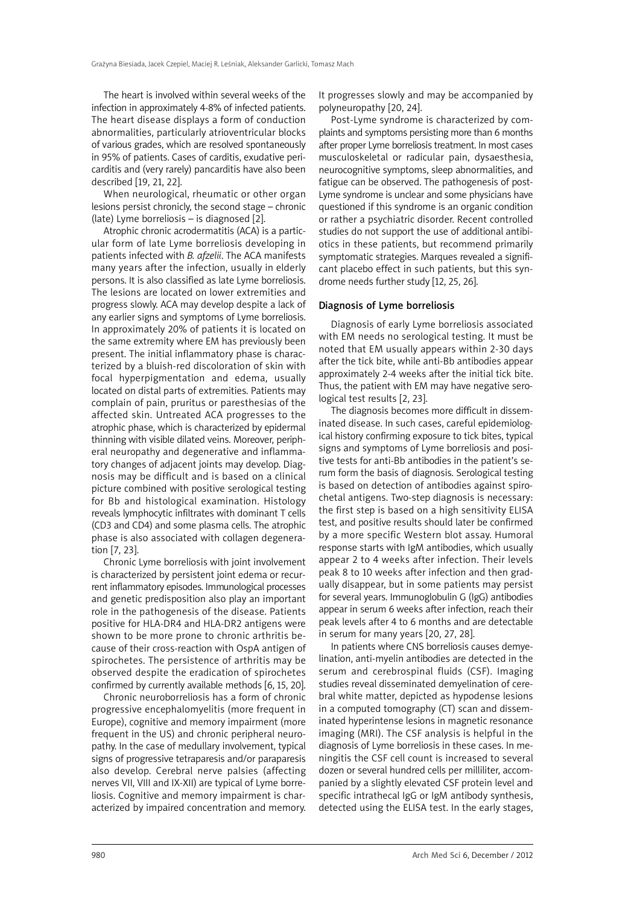The heart is involved within several weeks of the infection in approximately 4-8% of infected patients. The heart disease displays a form of conduction abnormalities, particularly atrioventricular blocks of various grades, which are resolved spontaneously in 95% of patients. Cases of carditis, exudative pericarditis and (very rarely) pancarditis have also been described [19, 21, 22].

When neurological, rheumatic or other organ lesions persist chronicly, the second stage – chronic (late) Lyme borreliosis – is diagnosed [2].

Atrophic chronic acrodermatitis (ACA) is a particular form of late Lyme borreliosis developing in patients infected with *B. afzelii*. The ACA manifests many years after the infection, usually in elderly persons. It is also classified as late Lyme borreliosis. The lesions are located on lower extremities and progress slowly. ACA may develop despite a lack of any earlier signs and symptoms of Lyme borreliosis. In approximately 20% of patients it is located on the same extremity where EM has previously been present. The initial inflammatory phase is characterized by a bluish-red discoloration of skin with focal hyperpigmentation and edema, usually located on distal parts of extremities. Patients may complain of pain, pruritus or paresthesias of the affected skin. Untreated ACA progresses to the atrophic phase, which is characterized by epidermal thinning with visible dilated veins. Moreover, peripheral neuropathy and degenerative and inflammatory changes of adjacent joints may develop. Diagnosis may be difficult and is based on a clinical picture combined with positive serological testing for Bb and histological examination. Histology reveals lymphocytic infiltrates with dominant T cells (CD3 and CD4) and some plasma cells. The atrophic phase is also associated with collagen degeneration [7, 23].

Chronic Lyme borreliosis with joint involvement is characterized by persistent joint edema or recurrent inflammatory episodes. Immunological processes and genetic predisposition also play an important role in the pathogenesis of the disease. Patients positive for HLA-DR4 and HLA-DR2 antigens were shown to be more prone to chronic arthritis because of their cross-reaction with OspA antigen of spirochetes. The persistence of arthritis may be observed despite the eradication of spirochetes confirmed by currently available methods [6, 15, 20].

Chronic neuroborreliosis has a form of chronic progressive encephalomyelitis (more frequent in Europe), cognitive and memory impairment (more frequent in the US) and chronic peripheral neuropathy. In the case of medullary involvement, typical signs of progressive tetraparesis and/or paraparesis also develop. Cerebral nerve palsies (affecting nerves VII, VIII and IX-XII) are typical of Lyme borreliosis. Cognitive and memory impairment is characterized by impaired concentration and memory. It progresses slowly and may be accompanied by polyneuropathy [20, 24].

Post-Lyme syndrome is characterized by complaints and symptoms persisting more than 6 months after proper Lyme borreliosis treatment. In most cases musculoskeletal or radicular pain, dysaesthesia, neurocognitive symptoms, sleep abnormalities, and fatigue can be observed. The pathogenesis of post-Lyme syndrome is unclear and some physicians have questioned if this syndrome is an organic condition or rather a psychiatric disorder. Recent controlled studies do not support the use of additional antibiotics in these patients, but recommend primarily symptomatic strategies. Marques revealed a significant placebo effect in such patients, but this syndrome needs further study [12, 25, 26].

# Diagnosis of Lyme borreliosis

Diagnosis of early Lyme borreliosis associated with EM needs no serological testing. It must be noted that EM usually appears within 2-30 days after the tick bite, while anti-Bb antibodies appear approximately 2-4 weeks after the initial tick bite. Thus, the patient with EM may have negative serological test results [2, 23].

The diagnosis becomes more difficult in disseminated disease. In such cases, careful epidemiological history confirming exposure to tick bites, typical signs and symptoms of Lyme borreliosis and positive tests for anti-Bb antibodies in the patient's serum form the basis of diagnosis. Serological testing is based on detection of antibodies against spirochetal antigens. Two-step diagnosis is necessary: the first step is based on a high sensitivity ELISA test, and positive results should later be confirmed by a more specific Western blot assay. Humoral response starts with IgM antibodies, which usually appear 2 to 4 weeks after infection. Their levels peak 8 to 10 weeks after infection and then gradually disappear, but in some patients may persist for several years. Immunoglobulin G (IgG) antibodies appear in serum 6 weeks after infection, reach their peak levels after 4 to 6 months and are detectable in serum for many years [20, 27, 28].

In patients where CNS borreliosis causes demyelination, anti-myelin antibodies are detected in the serum and cerebrospinal fluids (CSF). Imaging studies reveal disseminated demyelination of cerebral white matter, depicted as hypodense lesions in a computed tomography (CT) scan and disseminated hyperintense lesions in magnetic resonance imaging (MRI). The CSF analysis is helpful in the diagnosis of Lyme borreliosis in these cases. In meningitis the CSF cell count is increased to several dozen or several hundred cells per milliliter, accompanied by a slightly elevated CSF protein level and specific intrathecal IgG or IgM antibody synthesis, detected using the ELISA test. In the early stages,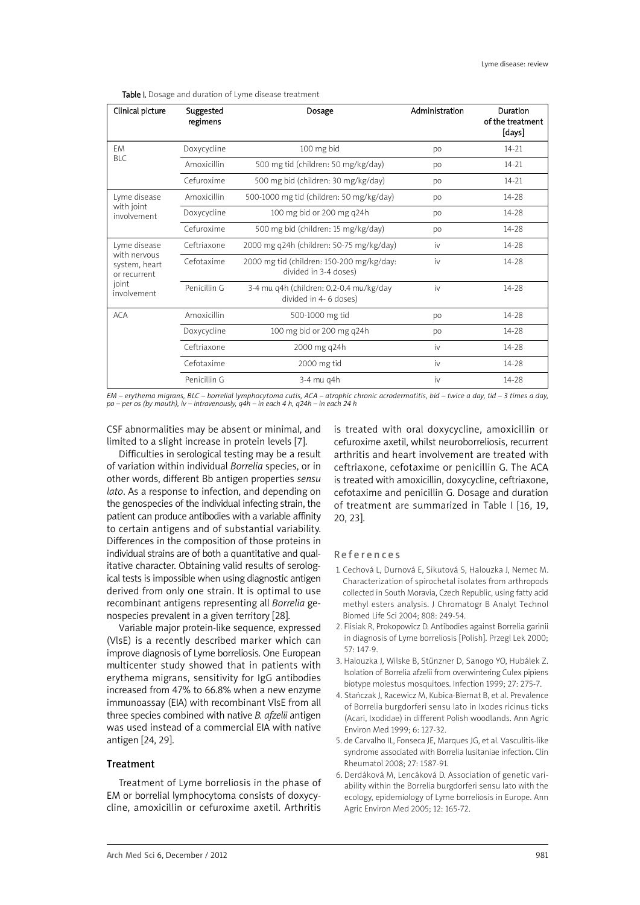| Clinical picture                                                                      | Suggested<br>regimens | Dosage                                                             | Administration | Duration<br>of the treatment<br>[days] |
|---------------------------------------------------------------------------------------|-----------------------|--------------------------------------------------------------------|----------------|----------------------------------------|
| EM<br>BLC                                                                             | Doxycycline           | 100 mg bid                                                         | po             | $14 - 21$                              |
|                                                                                       | Amoxicillin           | 500 mg tid (children: 50 mg/kg/day)                                | po             | 14-21                                  |
|                                                                                       | Cefuroxime            | 500 mg bid (children: 30 mg/kg/day)                                | po             | 14-21                                  |
| Lyme disease<br>with joint<br>involvement                                             | Amoxicillin           | 500-1000 mg tid (children: 50 mg/kg/day)                           | po             | 14-28                                  |
|                                                                                       | Doxycycline           | 100 mg bid or 200 mg q24h                                          | <b>DO</b>      | 14-28                                  |
|                                                                                       | Cefuroxime            | 500 mg bid (children: 15 mg/kg/day)                                | po             | 14-28                                  |
| Lyme disease<br>with nervous<br>system, heart<br>or recurrent<br>joint<br>involvement | Ceftriaxone           | 2000 mg q24h (children: 50-75 mg/kg/day)                           | iv             | 14-28                                  |
|                                                                                       | Cefotaxime            | 2000 mg tid (children: 150-200 mg/kg/day:<br>divided in 3-4 doses) | iv             | 14-28                                  |
|                                                                                       | Penicillin G          | 3-4 mu q4h (children: 0.2-0.4 mu/kg/day<br>divided in 4- 6 doses)  | iv             | 14-28                                  |
| <b>ACA</b>                                                                            | Amoxicillin           | 500-1000 mg tid                                                    | po             | 14-28                                  |
|                                                                                       | Doxycycline           | 100 mg bid or 200 mg q24h                                          | po             | 14-28                                  |
|                                                                                       | Ceftriaxone           | 2000 mg q24h                                                       | iv             | 14-28                                  |
|                                                                                       | Cefotaxime            | 2000 mg tid                                                        | iv             | 14-28                                  |
|                                                                                       | Penicillin G          | 3-4 mu q4h                                                         | iv             | 14-28                                  |

Table I. Dosage and duration of Lyme disease treatment

EM – erythema migrans, BLC – borrelial lymphocytoma cutis, ACA – atrophic chronic acrodermatitis, bid – twice a day, tid – 3 times a day,<br>po – per os (by mouth), iv – intravenously, q4h – in each 4 h, q24h – in each 24 h

CSF abnormalities may be absent or minimal, and limited to a slight increase in protein levels [7].

Difficulties in serological testing may be a result of variation within individual *Borrelia* species, or in other words, different Bb antigen properties *sensu lato*. As a response to infection, and depending on the genospecies of the individual infecting strain, the patient can produce antibodies with a variable affinity to certain antigens and of substantial variability. Differences in the composition of those proteins in individual strains are of both a quantitative and qualitative character. Obtaining valid results of serological tests is impossible when using diagnostic antigen derived from only one strain. It is optimal to use recombinant antigens representing all *Borrelia* genospecies prevalent in a given territory [28].

Variable major protein-like sequence, expressed (VlsE) is a recently described marker which can improve diagnosis of Lyme borreliosis. One European multicenter study showed that in patients with erythema migrans, sensitivity for IgG antibodies increased from 47% to 66.8% when a new enzyme immunoassay (EIA) with recombinant VlsE from all three species combined with native *B. afzelii* antigen was used instead of a commercial EIA with native antigen [24, 29].

# Treatment

Treatment of Lyme borreliosis in the phase of EM or borrelial lymphocytoma consists of doxycycline, amoxicillin or cefuroxime axetil. Arthritis is treated with oral doxycycline, amoxicillin or cefuroxime axetil, whilst neuroborreliosis, recurrent arthritis and heart involvement are treated with ceftriaxone, cefotaxime or penicillin G. The ACA is treated with amoxicillin, doxycycline, ceftriaxone, cefotaxime and penicillin G. Dosage and duration of treatment are summarized in Table I [16, 19, 20, 23].

## References

- 1. Cechová L, Durnová E, Sikutová S, Halouzka J, Nemec M. Characterization of spirochetal isolates from arthropods collected in South Moravia, Czech Republic, using fatty acid methyl esters analysis. J Chromatogr B Analyt Technol Biomed Life Sci 2004; 808: 249-54.
- 2. Flisiak R, Prokopowicz D. Antibodies against Borrelia garinii in diagnosis of Lyme borreliosis [Polish]. Przegl Lek 2000; 57: 147-9.
- 3. Halouzka J, Wilske B, Stünzner D, Sanogo YO, Hubálek Z. Isolation of Borrelia afzelii from overwintering Culex pipiens biotype molestus mosquitoes. Infection 1999; 27: 275-7.
- 4. Stańczak J, Racewicz M, Kubica-Biernat B, et al. Prevalence of Borrelia burgdorferi sensu lato in Ixodes ricinus ticks (Acari, Ixodidae) in different Polish woodlands. Ann Agric Environ Med 1999; 6: 127-32.
- 5. de Carvalho IL, Fonseca JE, Marques JG, et al. Vasculitis-like syndrome associated with Borrelia lusitaniae infection. Clin Rheumatol 2008; 27: 1587-91.
- 6. Derdáková M, Lencáková D. Association of genetic variability within the Borrelia burgdorferi sensu lato with the ecology, epidemiology of Lyme borreliosis in Europe. Ann Agric Environ Med 2005; 12: 165-72.